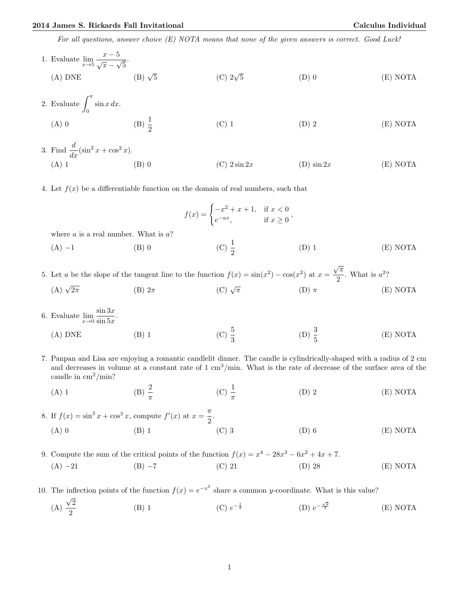For all questions, answer choice (E) NOTA means that none of the given answers is correct. Good Luck!

1. Evaluate 
$$
\lim_{x \to 5} \frac{x - 5}{\sqrt{x} - \sqrt{5}}
$$
.  
\n(A) DNE (B)  $\sqrt{5}$  (C)  $2\sqrt{5}$  (D) 0 (E) NOTA

2. Evaluate 
$$
\int_0^{\pi} \sin x \, dx
$$
.  
\n(A) 0 \n(B)  $\frac{1}{2}$  \n(C) 1 \n(D) 2 \n(E) NOTA

3. Find 
$$
\frac{d}{dx}(\sin^2 x + \cos^2 x)
$$
.  
\n(A) 1 \t\t (B) 0 \t\t (C)  $2 \sin 2x$  \t\t (D)  $\sin 2x$  \t\t (E) NOTA

4. Let  $f(x)$  be a differentiable function on the domain of real numbers, such that

$$
f(x) = \begin{cases} -x^2 + x + 1, & \text{if } x < 0 \\ e^{-ax}, & \text{if } x \ge 0 \end{cases}
$$
  
where *a* is a real number. What is *a*?  
(A) -1 (B) 0 (C)  $\frac{1}{2}$  (D) 1 (E) NOTA

5. Let a be the slope of the tangent line to the function  $f(x) = \sin(x^2) - \cos(x^2)$  at  $x =$  $\frac{\pi}{2}$ . What is  $a^2$ ? (A)  $\sqrt{2\pi}$  $\overline{2\pi}$  (B)  $2\pi$  (C)  $\sqrt{ }$ (C)  $\sqrt{\pi}$  (D)  $\pi$  (E) NOTA

- 6. Evaluate  $\lim_{x\to 0} \frac{\sin 3x}{\sin 5x}$  $\frac{\sin 5x}{\sin 5x}$ .
	- (A) DNE (B) 1 (C)  $\frac{5}{3}$ (D)  $\frac{3}{5}$ (E) NOTA
- 7. Panpan and Lisa are enjoying a romantic candlelit dinner. The candle is cylindrically-shaped with a radius of 2 cm and decreases in volume at a constant rate of  $1 \text{ cm}^3/\text{min}$ . What is the rate of decrease of the surface area of the candle in  $\text{cm}^2/\text{min}$ ?
	- (A) 1 (B)  $\frac{2}{\pi}$ (C)  $\frac{1}{\pi}$ (D) 2 (E) NOTA

8. If  $f(x) = \sin^3 x + \cos^3 x$ , compute  $f'(x)$  at  $x = \frac{\pi}{2}$  $\frac{\pi}{2}$ . (A) 0 (B) 1 (C) 3 (D) 6 (E) NOTA

9. Compute the sum of the critical points of the function  $f(x) = x^4 - 28x^3 - 6x^2 + 4x + 7$ . (A) −21 (B) −7 (C) 21 (D) 28 (E) NOTA

10. The inflection points of the function  $f(x) = e^{-x^2}$  share a common y-coordinate. What is this value? √

(A) 2 2 (B) 1 (C)  $e^{-\frac{1}{2}}$  (D) e  $-\frac{\sqrt{2}}{2}$ <sup>2</sup> (E) NOTA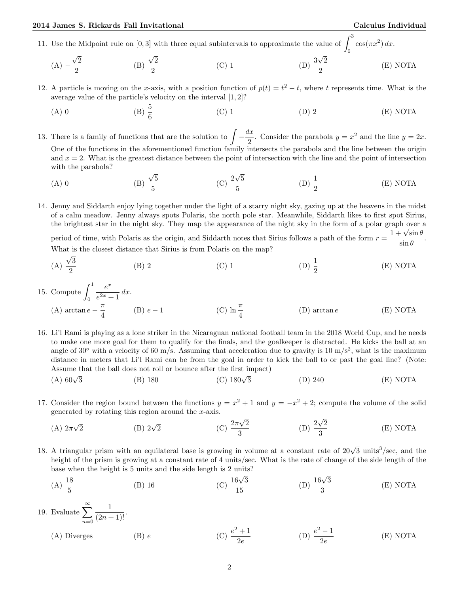0

- 11. Use the Midpoint rule on [0, 3] with three equal subintervals to approximate the value of  $\int_0^3$  $\cos(\pi x^2) dx$ .
	- $(A) \frac{\sqrt{2}}{2}$ √ √ √ 2 (B)  $\frac{\sqrt{2}}{2}$ 2 (C) 1 (D)  $\frac{3\sqrt{2}}{2}$ 2 (E) NOTA
- 12. A particle is moving on the x-axis, with a position function of  $p(t) = t^2 t$ , where t represents time. What is the average value of the particle's velocity on the interval [1, 2]?
	- (A) 0 (B)  $\frac{5}{6}$ (C) 1 (D) 2 (E) NOTA

13. There is a family of functions that are the solution to  $\int -\frac{dx}{2}$  $\frac{dx}{2}$ . Consider the parabola  $y = x^2$  and the line  $y = 2x$ . One of the functions in the aforementioned function family intersects the parabola and the line between the origin and  $x = 2$ . What is the greatest distance between the point of intersection with the line and the point of intersection with the parabola? √ √

 $(A)$  0 5 5  $(C)$ <sup>2</sup> 5 5 (D)  $\frac{1}{2}$ (E) NOTA

14. Jenny and Siddarth enjoy lying together under the light of a starry night sky, gazing up at the heavens in the midst of a calm meadow. Jenny always spots Polaris, the north pole star. Meanwhile, Siddarth likes to first spot Sirius, the brightest star in the night sky. They map the appearance of the night sky in the form of a polar graph over a the brightest star in the night sky. They map the appearance of the night sky in the form of a polar graph over a<br>period of time, with Polaris as the origin, and Siddarth notes that Sirius follows a path of the form  $r = \frac$  $\frac{\sin \theta}{\sin \theta}$ . What is the closest distance that Sirius is from Polaris on the map?

(A) 
$$
\frac{\sqrt{3}}{2}
$$
 (B) 2 (C) 1 (D)  $\frac{1}{2}$  (E) NOTA

15. Compute  $\int_1^1$ 0  $e^x$  $\frac{c}{e^{2x}+1}dx$ . (A) arctan  $e - \frac{\pi}{4}$ 4 (B)  $e-1$ (C)  $\ln \frac{\pi}{4}$  $(D)$  arctan  $e$  (E) NOTA

16. Li'l Rami is playing as a lone striker in the Nicaraguan national football team in the 2018 World Cup, and he needs to make one more goal for them to qualify for the finals, and the goalkeeper is distracted. He kicks the ball at an angle of 30 $\degree$  with a velocity of 60 m/s. Assuming that acceleration due to gravity is 10 m/s<sup>2</sup>, what is the maximum distance in meters that Li'l Rami can be from the goal in order to kick the ball to or past the goal line? (Note:

- Assume that the ball does not roll or bounce after the first impact)<br>
(A)  $60\sqrt{3}$  (B) 180 (C)  $180\sqrt{3}$ (A)  $60\sqrt{3}$ (C)  $180\sqrt{3}$  (D) 240 (E) NOTA
- 17. Consider the region bound between the functions  $y = x^2 + 1$  and  $y = -x^2 + 2$ ; compute the volume of the solid generated by rotating this region around the  $x$ -axis. √ √
	- $(A)$   $2\pi$ √ (B)  $2\sqrt{2}$  $\overline{2}$  (C)  $\frac{2\pi}{ }$ 2 3  $(D)$ <sup>2</sup> 2 3 (E) NOTA
- 18. A triangular prism with an equilateral base is growing in volume at a constant rate of  $20\sqrt{3}$  units<sup>3</sup>/sec, and the height of the prism is growing at a constant rate of 4 units/sec. What is the rate of change of the side length of the base when the height is 5 units and the side length is 2 units?
	- (A)  $\frac{18}{5}$ (B) 16 (C)  $\frac{16\sqrt{3}}{15}$ 15 (D)  $\frac{16\sqrt{3}}{2}$ 3 (E) NOTA
- 19. Evaluate  $\sum_{n=1}^{\infty}$  $n=0$  $\frac{1}{(2n+1)!}$ . (A) Diverges (B)  $e$  $^{2}+1$ 2e (D)  $\frac{e^2-1}{2}$ 2e (E) NOTA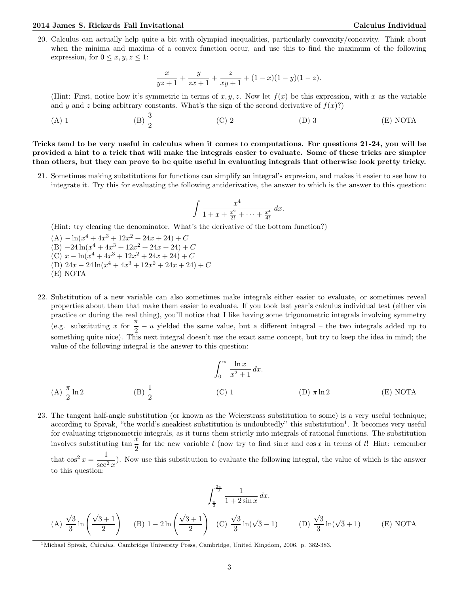20. Calculus can actually help quite a bit with olympiad inequalities, particularly convexity/concavity. Think about when the minima and maxima of a convex function occur, and use this to find the maximum of the following expression, for  $0 \leq x, y, z \leq 1$ :

$$
\frac{x}{yz+1} + \frac{y}{zx+1} + \frac{z}{xy+1} + (1-x)(1-y)(1-z).
$$

(Hint: First, notice how it's symmetric in terms of  $x, y, z$ . Now let  $f(x)$  be this expression, with x as the variable and y and z being arbitrary constants. What's the sign of the second derivative of  $f(x)$ ?

(A) 1 (B)  $\frac{3}{2}$ (C) 2 (D) 3 (E) NOTA

Tricks tend to be very useful in calculus when it comes to computations. For questions 21-24, you will be provided a hint to a trick that will make the integrals easier to evaluate. Some of these tricks are simpler than others, but they can prove to be quite useful in evaluating integrals that otherwise look pretty tricky.

21. Sometimes making substitutions for functions can simplify an integral's expresion, and makes it easier to see how to integrate it. Try this for evaluating the following antiderivative, the answer to which is the answer to this question:

$$
\int \frac{x^4}{1+x+\frac{x^2}{2!}+\cdots+\frac{x^4}{4!}}\,dx.
$$

(Hint: try clearing the denominator. What's the derivative of the bottom function?)

- $(A) \ln(x^4 + 4x^3 + 12x^2 + 24x + 24) + C$ (B)  $-24\ln(x^4+4x^3+12x^2+24x+24)+C$ (C)  $x - \ln(x^4 + 4x^3 + 12x^2 + 24x + 24) + C$ (D)  $24x - 24\ln(x^4 + 4x^3 + 12x^2 + 24x + 24) + C$ (E) NOTA
- 22. Substitution of a new variable can also sometimes make integrals either easier to evaluate, or sometimes reveal properties about them that make them easier to evaluate. If you took last year's calculus individual test (either via practice or during the real thing), you'll notice that I like having some trigonometric integrals involving symmetry (e.g. substituting x for  $\frac{\pi}{2} - u$  yielded the same value, but a different integral – the two integrals added up to something quite nice). This next integral doesn't use the exact same concept, but try to keep the idea in mind; the value of the following integral is the answer to this question:

(A) 
$$
\frac{\pi}{2} \ln 2
$$
 (B)  $\frac{1}{2}$  (C) 1 (D)  $\pi \ln 2$  (E) NOTA

23. The tangent half-angle substitution (or known as the Weierstrass substitution to some) is a very useful technique; according to Spivak, "the world's sneakiest substitution is undoubtedly" this substitution<sup>1</sup>. It becomes very useful for evaluating trigonometric integrals, as it turns them strictly into integrals of rational functions. The substitution involves substituting tan  $\frac{x}{5}$  for the new variable t (now try to find sin x and cos x in terms of t! Hint: remember 2 that  $\cos^2 x = \frac{1}{x}$  $\frac{1}{\sec^2 x}$ ). Now use this substitution to evaluate the following integral, the value of which is the answer to this question:

$$
\int_{\frac{\pi}{2}}^{\frac{2\pi}{3}} \frac{1}{1+2\sin x} dx.
$$
\n(A)  $\frac{\sqrt{3}}{3} \ln \left( \frac{\sqrt{3}+1}{2} \right)$  (B)  $1 - 2 \ln \left( \frac{\sqrt{3}+1}{2} \right)$  (C)  $\frac{\sqrt{3}}{3} \ln(\sqrt{3}-1)$  (D)  $\frac{\sqrt{3}}{3} \ln(\sqrt{3}+1)$  (E) NOTA

<sup>&</sup>lt;sup>1</sup>Michael Spivak, Calculus. Cambridge University Press, Cambridge, United Kingdom, 2006. p. 382-383.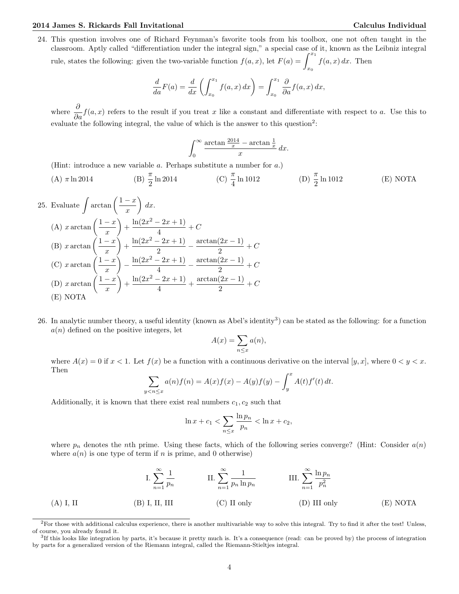24. This question involves one of Richard Feynman's favorite tools from his toolbox, one not often taught in the classroom. Aptly called "differentiation under the integral sign," a special case of it, known as the Leibniz integral rule, states the following: given the two-variable function  $f(a, x)$ , let  $F(a) = \int^{x_1}$  $\overline{x_0}$  $f(a, x) dx$ . Then

$$
\frac{d}{da}F(a) = \frac{d}{dx}\left(\int_{x_0}^{x_1} f(a,x) dx\right) = \int_{x_0}^{x_1} \frac{\partial}{\partial a}f(a,x) dx,
$$

where  $\frac{\partial}{\partial a}f(a,x)$  refers to the result if you treat x like a constant and differentiate with respect to a. Use this to evaluate the following integral, the value of which is the answer to this question<sup>2</sup>:

$$
\int_0^\infty \frac{\arctan\frac{2014}{x} - \arctan\frac{1}{x}}{x} dx.
$$

(Hint: introduce a new variable a. Perhaps substitute a number for a.)

(A) 
$$
\pi \ln 2014
$$
 \t\t (B)  $\frac{\pi}{2} \ln 2014$  \t\t (C)  $\frac{\pi}{4} \ln 1012$  \t\t (D)  $\frac{\pi}{2} \ln 1012$  \t\t (E) NOTA

25. Evaluate 
$$
\int \arctan \left( \frac{1-x}{x} \right) dx
$$
.  
\n(A)  $x \arctan \left( \frac{1-x}{x} \right) + \frac{\ln(2x^2 - 2x + 1)}{4} + C$   
\n(B)  $x \arctan \left( \frac{1-x}{x} \right) + \frac{\ln(2x^2 - 2x + 1)}{2} - \frac{\arctan(2x - 1)}{2} + C$   
\n(C)  $x \arctan \left( \frac{1-x}{x} \right) - \frac{\ln(2x^2 - 2x + 1)}{4} - \frac{\arctan(2x - 1)}{2} + C$   
\n(D)  $x \arctan \left( \frac{1-x}{x} \right) + \frac{\ln(2x^2 - 2x + 1)}{4} + \frac{\arctan(2x - 1)}{2} + C$   
\n(E) NOTA

26. In analytic number theory, a useful identity (known as Abel's identity<sup>3</sup>) can be stated as the following: for a function  $a(n)$  defined on the positive integers, let

$$
A(x) = \sum_{n \le x} a(n),
$$

where  $A(x) = 0$  if  $x < 1$ . Let  $f(x)$  be a function with a continuous derivative on the interval  $[y, x]$ , where  $0 < y < x$ . Then

$$
\sum_{y < n \le x} a(n)f(n) = A(x)f(x) - A(y)f(y) - \int_y^x A(t)f'(t) \, dt.
$$

Additionally, it is known that there exist real numbers  $c_1, c_2$  such that

$$
\ln x + c_1 < \sum_{n \le x} \frac{\ln p_n}{p_n} < \ln x + c_2,
$$

where  $p_n$  denotes the nth prime. Using these facts, which of the following series converge? (Hint: Consider  $a(n)$ ) where  $a(n)$  is one type of term if n is prime, and 0 otherwise)

$$
\text{I. } \sum_{n=1}^{\infty} \frac{1}{p_n} \qquad \qquad \text{II. } \sum_{n=1}^{\infty} \frac{1}{p_n \ln p_n} \qquad \qquad \text{III. } \sum_{n=1}^{\infty} \frac{\ln p_n}{p_n^2}
$$
\n
$$
\text{(A) I, II} \qquad \qquad \text{(B) I, II, III} \qquad \qquad \text{(C) II only} \qquad \qquad \text{(D) III only} \qquad \qquad \text{(E) NOTA}
$$

 ${}^{2}$ For those with additional calculus experience, there is another multivariable way to solve this integral. Try to find it after the test! Unless, of course, you already found it.

<sup>&</sup>lt;sup>3</sup>If this looks like integration by parts, it's because it pretty much is. It's a consequence (read: can be proved by) the process of integration by parts for a generalized version of the Riemann integral, called the Riemann-Stieltjes integral.